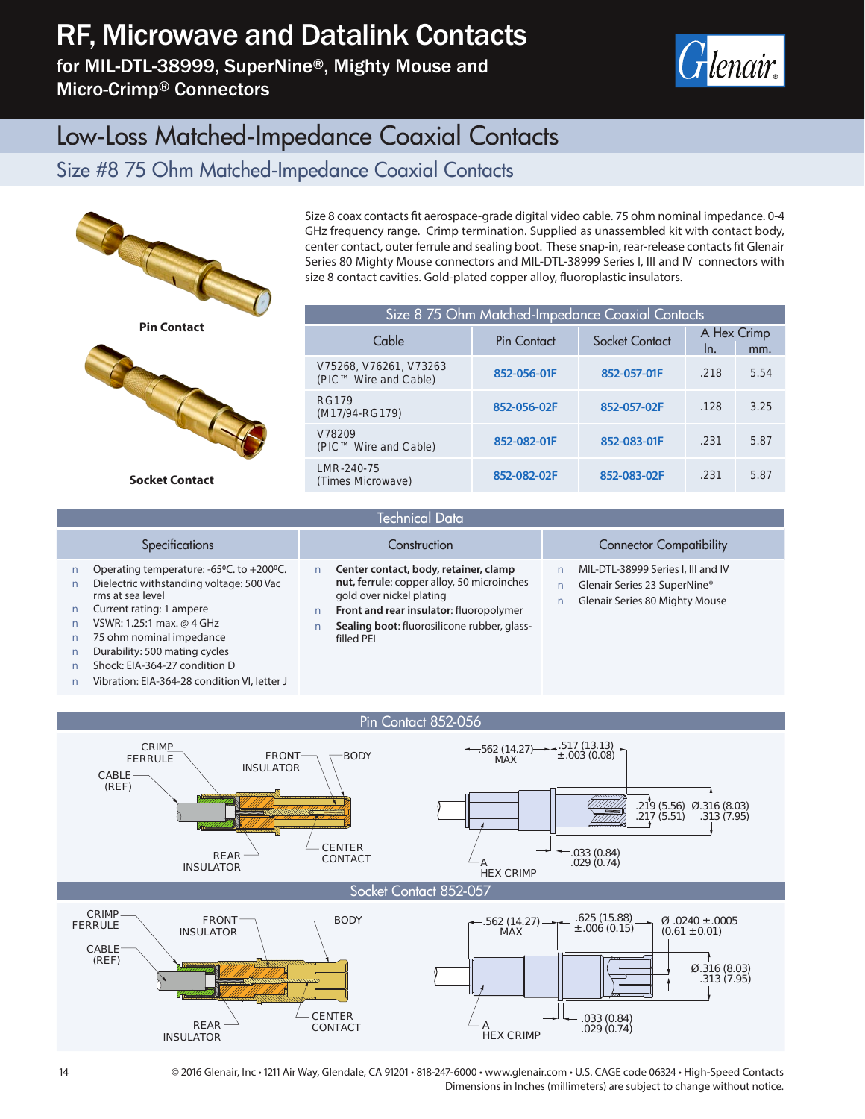# RF, Microwave and Datalink Contacts

for MIL-DTL-38999, SuperNine®, Mighty Mouse and Micro-Crimp® Connectors



### Low-Loss Matched-Impedance Coaxial Contacts

#### Size #8 75 Ohm Matched-Impedance Coaxial Contacts



**Socket Contact**

Size 8 coax contacts fit aerospace-grade digital video cable. 75 ohm nominal impedance. 0-4 GHz frequency range. Crimp termination. Supplied as unassembled kit with contact body, center contact, outer ferrule and sealing boot. These snap-in, rear-release contacts fit Glenair Series 80 Mighty Mouse connectors and MIL-DTL-38999 Series I, III and IV connectors with size 8 contact cavities. Gold-plated copper alloy, fluoroplastic insulators.

| Size 8 75 Ohm Matched-Impedance Coaxial Contacts |             |                                             |      |      |  |
|--------------------------------------------------|-------------|---------------------------------------------|------|------|--|
| Cable                                            | Pin Contact | A Hex Crimp<br>Socket Contact<br>In.<br>mm. |      |      |  |
| V75268, V76261, V73263<br>(PIC™ Wire and Cable)  | 852-056-01F | 852-057-01F                                 | .218 | 5.54 |  |
| RG179<br>(M17/94-RG179)                          | 852-056-02F | 852-057-02F                                 | .128 | 3.25 |  |
| V78209<br>(PIC™ Wire and Cable)                  | 852-082-01F | 852-083-01F                                 | .231 | 5.87 |  |
| LMR-240-75<br>(Times Microwave)                  | 852-082-02F | 852-083-02F                                 | .231 | 5.87 |  |

| Technical Data                                                                                                                                                                                                                                                                                                  |                                                                                                                                                                                                                         |                                                                                                      |  |  |
|-----------------------------------------------------------------------------------------------------------------------------------------------------------------------------------------------------------------------------------------------------------------------------------------------------------------|-------------------------------------------------------------------------------------------------------------------------------------------------------------------------------------------------------------------------|------------------------------------------------------------------------------------------------------|--|--|
| <b>Specifications</b>                                                                                                                                                                                                                                                                                           | Construction                                                                                                                                                                                                            | <b>Connector Compatibility</b>                                                                       |  |  |
| Operating temperature: -65°C. to +200°C.<br>Dielectric withstanding voltage: 500 Vac<br>rms at sea level<br>Current rating: 1 ampere<br>VSWR: 1.25:1 max. @ 4 GHz<br>75 ohm nominal impedance<br>Durability: 500 mating cycles<br>Shock: EIA-364-27 condition D<br>Vibration: EIA-364-28 condition VI, letter J | Center contact, body, retainer, clamp<br>nut, ferrule: copper alloy, 50 microinches<br>gold over nickel plating<br>Front and rear insulator: fluoropolymer<br>Sealing boot: fluorosilicone rubber, glass-<br>filled PEI | MIL-DTL-38999 Series I, III and IV<br>Glenair Series 23 SuperNine®<br>Glenair Series 80 Mighty Mouse |  |  |



14 © 2016 Glenair, Inc • 1211 Air Way, Glendale, CA 91201 • 818-247-6000 • www.glenair.com • U.S. CAGE code 06324 • High-Speed Contacts Dimensions in Inches (millimeters) are subject to change without notice.